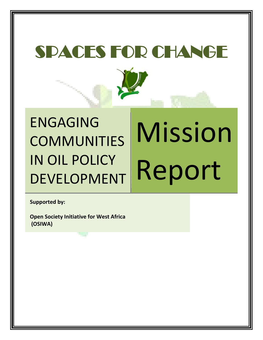# SPACES FOR CHANGE



# ENGAGING COMMUNITIES IN OIL POLICY DEVELOPMENT Mission Report

**Supported by:**

**Open Society Initiative for West Africa (OSIWA)**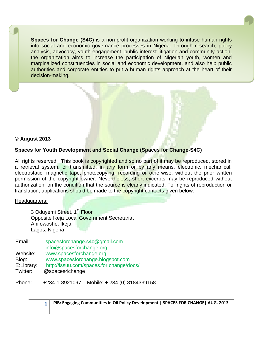**Spaces for Change (S4C)** is a non-profit organization working to infuse human rights into social and economic governance processes in Nigeria. Through research, policy analysis, advocacy, youth engagement, public interest litigation and community action, the organization aims to increase the participation of Nigerian youth, women and marginalized constituencies in social and economic development, and also help public authorities and corporate entities to put a human rights approach at the heart of their decision-making.



# **Spaces for Youth Development and Social Change (Spaces for Change-S4C)**

All rights reserved. This book is copyrighted and so no part of it may be reproduced, stored in a retrieval system, or transmitted, in any form or by any means, electronic, mechanical, electrostatic, magnetic tape, photocopying, recording or otherwise, without the prior written permission of the copyright owner. Nevertheless, short excerpts may be reproduced without authorization, on the condition that the source is clearly indicated. For rights of reproduction or translation, applications should be made to the copyright contacts given below:

### Headquarters:

3 Oduyemi Street, 1<sup>st</sup> Floor Opposite Ikeja Local Government Secretariat Anifowoshe, Ikeja Lagos, Nigeria

| Email:     | spacesforchange.s4c@gmail.com            |
|------------|------------------------------------------|
|            | info@spacesforchange.org                 |
| Website:   | www.spacesforchange.org                  |
| Blog:      | www.spacesforchange.blogspot.com         |
| E:Library: | http://issuu.com/spaces.for.change/docs/ |
| Twitter:   | @spaces4change                           |
|            |                                          |

Phone: +234-1-8921097; Mobile: + 234 (0) 8184339158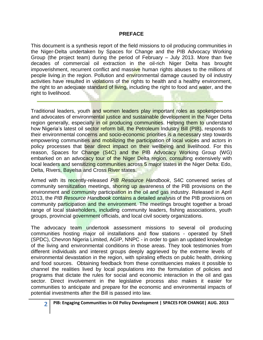# **PREFACE**

This document is a synthesis report of the field missions to oil producing communities in the Niger-Delta undertaken by Spaces for Change and the PIB Advocacy Working Group (the project team) during the period of February – July 2013. More than five decades of commercial oil extraction in the oil-rich Niger Delta has brought impoverishment, recurrent conflict and massive human rights abuses to the millions of people living in the region. Pollution and environmental damage caused by oil industry activities have resulted in violations of the rights to health and a healthy environment, the right to an adequate standard of living, including the right to food and water, and the right to livelihood.

Traditional leaders, youth and women leaders play important roles as spokespersons and advocates of environmental justice and sustainable development in the Niger Delta region generally, especially in oil producing communities. Helping them to understand how Nigeria's latest oil sector reform bill, the Petroleum Industry Bill (PIB), responds to their environmental concerns and socio-economic priorities is a necessary step towards empowering communities and mobilizing the participation of local voices and actors in policy processes that bear direct impact on their wellbeing and livelihood. For this reason, Spaces for Change (S4C) and the PIB Advocacy Working Group (WG) embarked on an advocacy tour of the Niger Delta region, consulting extensively with local leaders and sensitizing communities across 5 major states in the Niger Delta: Edo, Delta, Rivers, Bayelsa and Cross River states.

Armed with its recently-released *PIB Resource Handbook*, S4C convened series of community sensitization meetings, shoring up awareness of the PIB provisions on the environment and community participation in the oil and gas industry. Released in April 2013, the *PIB Resource Handbook* contains a detailed analysis of the PIB provisions on community participation and the environment. The meetings brought together a broad range of local stakeholders, including community leaders, fishing associations, youth groups, provincial government officials, and local civil society organizations.

The advocacy team undertook assessment missions to several oil producing communities hosting major oil installations and flow stations - operated by Shell (SPDC), Chevron Nigeria Limited, AGIP, NNPC - in order to gain an updated knowledge of the living and environmental conditions in those areas. They took testimonies from different individuals and interest groups deeply aggrieved by the extreme levels of environmental devastation in the region, with spiraling effects on public health, drinking and food sources. Obtaining feedback from these constituencies makes it possible to channel the realities lived by local populations into the formulation of policies and programs that dictate the rules for social and economic interaction in the oil and gas sector. Direct involvement in the legislative process also makes it easier for communities to anticipate and prepare for the economic and environmental impacts of potential investments after the Bill is passed into law.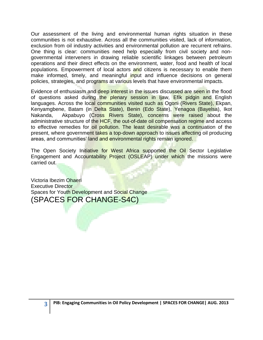Our assessment of the living and environmental human rights situation in these communities is not exhaustive. Across all the communities visited, lack of information, exclusion from oil industry activities and environmental pollution are recurrent refrains. One thing is clear: communities need help especially from civil society and nongovernmental interveners in drawing reliable scientific linkages between petroleum operations and their direct effects on the environment, water, food and health of local populations. Empowerment of local actors and citizens is necessary to enable them make informed, timely, and meaningful input and influence decisions on general policies, strategies, and programs at various levels that have environmental impacts.

Evidence of enthusiasm and deep interest in the issues discussed are seen in the flood of questions asked during the plenary session in Ijaw, Efik pidgin and English languages. Across the local communities visited such as Ogoni (Rivers State), Ekpan, Kenyamgbene, Batam (in Delta State), Benin (Edo State), Yenagoa (Bayelsa), Ikot Nakanda, Akpabuyo (Cross Rivers State), concerns were raised about the administrative structure of the HCF, the out-of-date oil compensation regime and access to effective remedies for oil pollution. The least desirable was a continuation of the present, where government takes a top-down approach to issues affecting oil producing areas, and communities' land and environmental rights remain ignored.

The Open Society Initiative for West Africa supported the Oil Sector Legislative Engagement and Accountability Project (OSLEAP) under which the missions were carried out.

Victoria Ibezim Ohaeri Executive Director Spaces for Youth Development and Social Change (SPACES FOR CHANGE-S4C)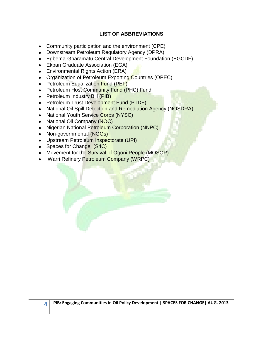# **LIST OF ABBREVIATIONS**

- Community participation and the environment (CPE)
- Downstream Petroleum Regulatory Agency (DPRA)
- Egbema-Gbaramatu Central Development Foundation (EGCDF)
- Ekpan Graduate Association (EGA)
- Environmental Rights Action (ERA)  $\bullet$
- Organization of Petroleum Exporting Countries (OPEC)
- Petroleum Equalization Fund (PEF)
- Petroleum Host Community Fund (PHC) Fund
- Petroleum Industry Bill (PIB)
- Petroleum Trust Development Fund (PTDF),
- National Oil Spill Detection and Remediation Agency (NOSDRA)
- National Youth Service Corps (NYSC)
- National Oil Company (NOC)
- Nigerian National Petroleum Corporation (NNPC)
- Non-governmental (NGOs)
- Upstream Petroleum Inspectorate (UPI)
- Spaces for Change (S4C)
- Movement for the Survival of Ogoni People (MOSOP)
- Warri Refinery Petroleum Company (WRPC)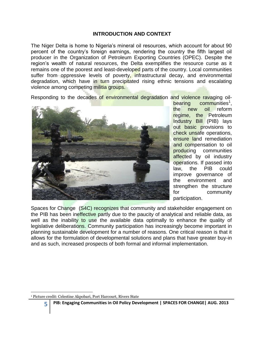# **INTRODUCTION AND CONTEXT**

The Niger Delta is home to Nigeria"s mineral oil resources, which account for about 90 percent of the country"s foreign earnings, rendering the country the fifth largest oil producer in the Organization of Petroleum Exporting Countries (OPEC). Despite the region"s wealth of natural resources, the Delta exemplifies the resource curse as it remains one of the poorest and least-developed parts of the country. Local communities suffer from oppressive levels of poverty, infrastructural decay, and environmental degradation, which have in turn precipitated rising ethnic tensions and escalating violence among competing militia groups.

Responding to the decades of environmental degradation and violence ravaging oil-



bearing communities<sup>1</sup>, the new oil reform regime, the Petroleum Industry Bill (PIB) lays out basic provisions to check unsafe operations, ensure land remediation and compensation to oil producing communities affected by oil industry operations. If passed into law, the PIB could improve governance of the environment and strengthen the structure for community participation.

Spaces for Change (S4C) recognizes that community and stakeholder engagement on the PIB has been ineffective partly due to the paucity of analytical and reliable data, as well as the inability to use the available data optimally to enhance the quality of legislative deliberations. Community participation has increasingly become important in planning sustainable development for a number of reasons. One critical reason is that it allows for the formulation of developmental solutions and plans that have greater buy-in and as such, increased prospects of both formal and informal implementation.

#### $\overline{\phantom{a}}$ <sup>1</sup> Picture credit: Celestine Akpobari, Port Harcourt, Rivers State

**PIB: Engaging Communities in Oil Policy Development | SPACES FOR CHANGE| AUG. 2013**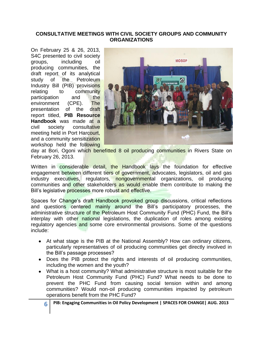# **CONSULTATIVE MEETINGS WITH CIVIL SOCIETY GROUPS AND COMMUNITY ORGANIZATIONS**

On February 25 & 26, 2013, S4C presented to civil society groups, including oil producing communities, the draft report of its analytical study of the Petroleum Industry Bill (PIB) provisions relating to community participation and the environment (CPE). The presentation of the draft report titled, **PIB Resource Handbook** was made at a civil society consultative meeting held in Port Harcourt, and a community sensitization workshop held the following



day at Bori, Ogoni which benefitted 8 oil producing communities in Rivers State on February 26, 2013.

Written in considerable detail, the Handbook lays the foundation for effective engagement between different tiers of government, advocates, legislators, oil and gas industry executives, regulators, nongovernmental organizations, oil producing communities and other stakeholders as would enable them contribute to making the Bill's legislative processes more robust and effective.

Spaces for Change's draft Handbook provoked group discussions, critical reflections and questions centered mainly around the Bill"s participatory processes, the administrative structure of the Petroleum Host Community Fund (PHC) Fund, the Bill's interplay with other national legislations, the duplication of roles among existing regulatory agencies and some core environmental provisions. Some of the questions include:

- At what stage is the PIB at the National Assembly? How can ordinary citizens, particularly representatives of oil producing communities get directly involved in the Bill"s passage processes?
- Does the PIB protect the rights and interests of oil producing communities, including the women and the youth?
- What is a host community? What administrative structure is most suitable for the Petroleum Host Community Fund (PHC) Fund? What needs to be done to prevent the PHC Fund from causing social tension within and among communities? Would non-oil producing communities impacted by petroleum operations benefit from the PHC Fund?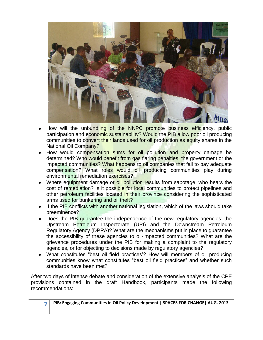

- How will the unbundling of the NNPC promote business efficiency, public participation and economic sustainability? Would the PIB allow poor oil producing communities to convert their lands used for oil production as equity shares in the National Oil Company?
- How would compensation sums for oil pollution and property damage be determined? Who would benefit from gas flaring penalties: the government or the impacted communities? What happens to oil companies that fail to pay adequate compensation? What roles would oil producing communities play during environmental remediation exercises?
- Where equipment damage or oil pollution results from sabotage, who bears the cost of remediation? Is it possible for local communities to protect pipelines and other petroleum facilities located in their province considering the sophisticated arms used for bunkering and oil theft?
- If the PIB conflicts with another national legislation, which of the laws should take preeminence?
- Does the PIB quarantee the independence of the new regulatory agencies: the Upstream Petroleum Inspectorate (UPI) and the Downstream Petroleum Regulatory Agency (DPRA)? What are the mechanisms put in place to guarantee the accessibility of these agencies to oil-impacted communities? What are the grievance procedures under the PIB for making a complaint to the regulatory agencies, or for objecting to decisions made by regulatory agencies?
- What constitutes "best oil field practices'? How will members of oil producing communities know what constitutes "best oil field practices" and whether such standards have been met?

After two days of intense debate and consideration of the extensive analysis of the CPE provisions contained in the draft Handbook, participants made the following recommendations: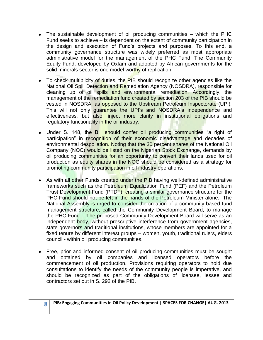- The sustainable development of oil producing communities which the PHC Fund seeks to achieve – is dependent on the extent of community participation in the design and execution of Fund"s projects and purposes. To this end, a community governance structure was widely preferred as most appropriate administrative model for the management of the PHC Fund. The Community Equity Fund, developed by Oxfam and adopted by African governments for the solid minerals sector is one model worthy of replication.
- To check multiplicity of duties, the PIB should recognize other agencies like the  $\bullet$ National Oil Spill Detection and Remediation Agency (NOSDRA), responsible for cleaning up of oil spills and environmental remediation. Accordingly, the management of the remediation fund created by section 203 of the PIB should be vested in NOSDRA, as opposed to the Upstream Petroleum Inspectorate (UPI). This will not only guarantee the UPI's and NOSDRA's independence and effectiveness, but also, inject more clarity in institutional obligations and regulatory functionality in the oil industry.
- Under S. 148, the Bill should confer oil producing communities "a right of participation" in recognition of their economic disadvantage and decades of environmental despoliation. Noting that the 30 percent shares of the National Oil Company (NOC) would be listed on the Nigerian Stock Exchange, demands by oil producing communities for an opportunity to convert their lands used for oil production as equity shares in the NOC should be considered as a strategy for promoting community participation in oil industry operations.
- As with all other Funds created under the PIB having well-defined administrative frameworks such as the Petroleum Equalization Fund (PEF) and the Petroleum Trust Development Fund (PTDF), creating a similar governance structure for the PHC Fund should not be left in the hands of the Petroleum Minister alone. The National Assembly is urged to consider the creation of a community-based fund management structure, called the Community Development Board, to manage the PHC Fund. The proposed Community Development Board will serve as an independent body, without prescriptive interference from government agencies, state governors and traditional institutions, whose members are appointed for a fixed tenure by different interest groups – women, youth, traditional rulers, elders council - within oil producing communities.
- Free, prior and informed consent of oil producing communities must be sought and obtained by oil companies and licensed operators before the commencement of oil production. Provisions requiring operators to hold due consultations to identify the needs of the community people is imperative, and should be recognized as part of the obligations of licensee, lessee and contractors set out in S. 292 of the PIB.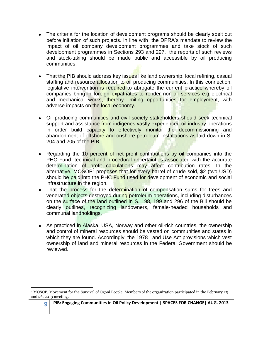- The criteria for the location of development programs should be clearly spelt out before initiation of such projects. In line with the DPRA"s mandate to review the impact of oil company development programmes and take stock of such development programmes in Sections 293 and 297, the reports of such reviews and stock-taking should be made public and accessible by oil producing communities.
- That the PIB should address key issues like land ownership, local refining, casual staffing and resource allocation to oil producing communities. In this connection, legislative intervention is required to abrogate the current practice whereby oil companies bring in foreign expatriates to render non-oil services e.g electrical and mechanical works, thereby limiting opportunities for employment, with adverse impacts on the local economy.
- Oil producing communities and civil society stakeholders should seek technical support and assistance from indigenes vastly experienced oil industry operations in order build capacity to effectively monitor the decommissioning and abandonment of offshore and onshore petroleum installations as laid down in S. 204 and 205 of the PIB.
- Regarding the 10 percent of net profit contributions by oil companies into the PHC Fund, technical and procedural uncertainties associated with the accurate determination of profit calculations may affect contribution rates. In the alternative, MOSOP<sup>2</sup> proposes that for every barrel of crude sold, \$2 (two USD) should be paid into the PHC Fund used for development of economic and social infrastructure in the region.
- That the process for the determination of compensation sums for trees and venerated objects destroyed during petroleum operations, including disturbances on the surface of the land outlined in S. 198, 199 and 296 of the Bill should be clearly outlines, recognizing landowners, female-headed households and communal landholdings.
- As practiced in Alaska, USA, Norway and other oil-rich countries, the ownership and control of mineral resources should be vested on communities and states in which they are found. Accordingly, the 1978 Land Use Act provisions which vest ownership of land and mineral resources in the Federal Government should be reviewed.

l <sup>2</sup> MOSOP, Movement for the Survival of Ogoni People. Members of the organization participated in the February 25 and 26, 2013 meeting.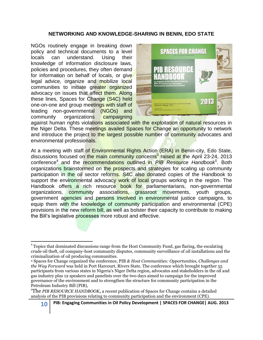# **NETWORKING AND KNOWLEDGE-SHARING IN BENIN, EDO STATE**

NGOs routinely engage in breaking down policy and technical documents to a level locals can understand. Using their knowledge of information disclosure laws, policies and procedures, they often demand for information on behalf of locals, or give legal advice, organize and mobilize local communities to initiate greater organized advocacy on issues that affect them. Along these lines, Spaces for Change (S4C) held one-on-one and group meetings with staff of leading non-governmental (NGOs) and community organizations campaigning



against human rights violations associated with the exploitation of natural resources in the Niger Delta. These meetings availed Spaces for Change an opportunity to network and introduce the project to the largest possible number of community advocates and environmental professionals.

At a meeting with staff of Environmental Rights Action (ERA) in Benin-city, Edo State, discussions focused on the main community concerns<sup>3</sup> raised at the April 23-24, 2013 conference<sup>4</sup> and the recommendations outlined in *PIB Resource Handbook<sup>5</sup>* . Both organizations brainstormed on the prospects and strategies for scaling up community participation in the oil sector reforms. S4C also donated copies of the Handbook to support the environmental advocacy work of local groups working in the region. The Handbook offers a rich resource book for parliamentarians, non-governmental organizations, community associations, grassroot movements, youth groups, government agencies and persons involved in environmental justice campaigns, to equip them with the knowledge of community participation and environmental (CPE) provisions in the new reform bill, as well as bolster their capacity to contribute to making the Bill"s legislative processes more robust and effective.

 $\overline{a}$ <sup>3</sup> Topics that dominated discussions range from the Host Community Fund, gas flaring, the escalating crude oil theft, oil company-host community disputes, community surveillance of oil installations and the criminalization of oil producing communities.

<sup>4</sup> Spaces for Change organized the conference, PIB *& Host Communities: Opportunities, Challenges and the Way Forward* was held in Port Harcourt, Rivers State. The conference which brought together 55 participants from various states in Nigeria's Niger Delta region, advocates and stakeholders in the oil and gas industry plus 12 speakers and panelists over the two days aimed to campaign for the improved governance of the environment and to strengthen the structure for community participation in the Petroleum Industry Bill (PIB),

<sup>&</sup>lt;sup>5</sup>The *PIB RESOURCE HANDBOOK*, a recent publication of Spaces for Change contains a detailed analysis of the PIB provisions relating to community participation and the environment (CPE).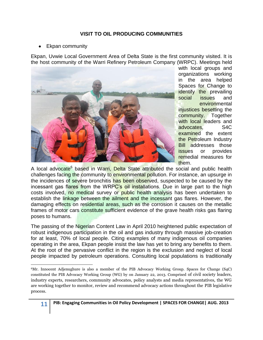# **VISIT TO OIL PRODUCING COMMUNITIES**

Ekpan community

Ekpan, Uvwie Local Government Area of Delta State is the first community visited. It is the host community of the Warri Refinery Petroleum Company (WRPC). Meetings held



with local groups and organizations working in the area helped Spaces for Change to identify the prevailing social issues and environmental injustices besetting the community. Together with local leaders and advocates, S4C examined the extent the Petroleum Industry Bill addresses those issues or provides remedial measures for them.

A local advocate<sup>6</sup> based in Warri, Delta State attributed the social and public health challenges facing the community to environmental pollution. For instance, an upsurge in the incidences of severe bronchitis has been observed, suspected to be caused by the incessant gas flares from the WRPC's oil installations. Due in large part to the high costs involved, no medical survey or public health analysis has been undertaken to establish the linkage between the ailment and the incessant gas flares. However, the damaging effects on residential areas, such as the corrosion it causes on the metallic frames of motor cars constitute sufficient evidence of the grave health risks gas flaring poses to humans.

The passing of the Nigerian Content Law in April 2010 heightened public expectation of robust indigenous participation in the oil and gas industry through massive job-creation for at least, 70% of local people. Citing examples of many indigenous oil companies operating in the area, Ekpan people insist the law has yet to bring any benefits to them. At the root of the pervasive conflict in the region is the exclusion and neglect of local people impacted by petroleum operations. Consulting local populations is traditionally

 $\overline{\phantom{a}}$ <sup>6</sup>Mr. Innocent Adjenughure is also a member of the PIB Advocacy Working Group. Spaces for Change (S4C) constituted the PIB Advocacy Working Group (WG) by on January 22, 2013. Comprised of civil society leaders, industry experts, researchers, community advocates, policy analysts and media representatives, the WG are working together to monitor, review and recommend advocacy actions throughout the PIB legislative process.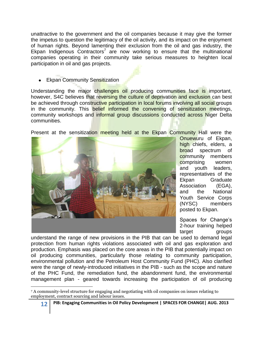unattractive to the government and the oil companies because it may give the former the impetus to question the legitimacy of the oil activity, and its impact on the enjoyment of human rights. Beyond lamenting their exclusion from the oil and gas industry, the Ekpan Indigenous Contractors<sup>7</sup> are now working to ensure that the multinational companies operating in their community take serious measures to heighten local participation in oil and gas projects.

• Ekpan Community Sensitization

Understanding the major challenges oil producing communities face is important, however, S4C believes that reversing the culture of deprivation and exclusion can best be achieved through constructive participation in local forums involving all social groups in the community. This **belief informed the convening of sensitization meetings**, community workshops and informal group discussions conducted across Niger Delta communities.

Present at the sensitization meeting held at the Ekpan Community Hall were the



Onuewuru of Ekpan, high chiefs, elders, a broad spectrum of community members comprising women and youth leaders, representatives of the Ekpan Graduate Association (EGA), and the National Youth Service Corps (NYSC) members posted to Ekpan.

Spaces for Change's 2-hour training helped target groups

understand the range of new provisions in the PIB that can be used to demand legal protection from human rights violations associated with oil and gas exploration and production. Emphasis was placed on the core areas in the PIB that potentially impact on oil producing communities, particularly those relating to community participation, environmental pollution and the Petroleum Host Community Fund (PHC). Also clarified were the range of newly-introduced initiatives in the PIB - such as the scope and nature of the PHC Fund, the remediation fund, the abandonment fund, the environmental management plan - geared towards increasing the participation of oil producing

 $\overline{a}$ 

<sup>7</sup> A community-level structure for engaging and negotiating with oil companies on issues relating to employment, contract sourcing and labour issues.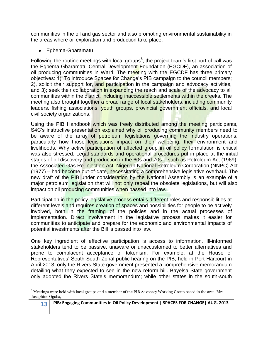communities in the oil and gas sector and also promoting environmental sustainability in the areas where oil exploration and production take place.

Egbema-Gbaramatu

 $\overline{a}$ 

Following the routine meetings with local groups<sup>8</sup>, the project team's first port of call was the Egbema-Gbaramatu Central Development Foundation (EGCDF), an association of oil producing communities in Warri. The meeting with the EGCDF has three primary objectives: 1). To introduce Spaces for Change"s PIB campaign to the council members; 2), solicit their support for, and participation in the campaign and advocacy activities, and 3); seek their collaboration in expanding the reach and scale of the advocacy to all communities within the district, including inaccessible settlements within the creeks. The meeting also brought together a broad range of local stakeholders, including community leaders, fishing associations, youth groups, provincial government officials, and local civil society organizations.

Using the PIB Handbook which was freely distributed among the meeting participants, S4C's instructive presentation explained why oil producing community members need to be aware of the array of petroleum legislations governing the industry operations, particularly how those legislations impact on their wellbeing, their environment and livelihoods. Why active participation of affected group in oil policy formulation is critical was also stressed. Legal standards and operational procedures put in place at the initial stages of oil discovery and production in the 60s and 70s – such as Petroleum Act (1969), the Associated Gas Re-injection Act, Nigerian National Petroleum Corporation (NNPC) Act (1977) – had become out-of-date, necessitating a comprehensive legislative overhaul. The new draft of the PIB under consideration by the National Assembly is an example of a major petroleum legislation that will not only repeal the obsolete legislations, but will also impact on oil producing communities when passed into law.

Participation in the policy legislative process entails different roles and responsibilities at different levels and requires creation of spaces and possibilities for people to be actively involved, both in the framing of the policies and in the actual processes of implementation. Direct involvement in the legislative process makes it easier for communities to anticipate and prepare for the economic and environmental impacts of potential investments after the Bill is passed into law.

One key ingredient of effective participation is access to information. Ill-informed stakeholders tend to be passive, unaware or unaccustomed to better alternatives and prone to complacent acceptance of tokenism. For example, at the House of Representatives" South-South Zonal public hearing on the PIB, held in Port Harcourt in April 2013, only the Rivers State government presented a comprehensive memorandum detailing what they expected to see in the new reform bill. Bayelsa State government only adopted the Rivers State"s memorandum; while other states in the south-south

<sup>&</sup>lt;sup>8</sup> Meetings were held with local groups and a member of the PIB Advocacy Working Group based in the area, Mrs. Josephine Ogoba,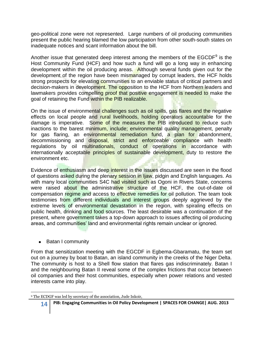geo-political zone were not represented. Large numbers of oil producing communities present the public hearing blamed the low participation from other south-south states on inadequate notices and scant information about the bill.

Another issue that generated deep interest among the members of the EGCDF<sup>9</sup> is the Host Community Fund (HCF) and how such a fund will go a long way in enhancing development within the oil producing areas. Although several funds given out for the development of the region have been mismanaged by corrupt leaders, the HCF holds strong prospects for elevating communities to an enviable status of critical partners and decision-makers in development. The opposition to the HCF from Northern leaders and lawmakers provides compelling proof that positive engagement is needed to make the goal of retaining the Fund within the PIB realizable.

On the issue of environmental challenges such as oil spills, gas flares and the negative effects on local people and rural livelihoods, holding operators accountable for the damage is imperative. Some of the measures the PIB introduced to reduce such inactions to the barest minimum, include; environmental quality management, penalty for gas flaring, an environmental remediation fund, a plan for abandonment, decommissioning and disposal, strict and enforceable compliance with health regulations by oil multinationals, conduct of operations in accordance with internationally acceptable principles of sustainable development, duty to restore the environment etc.

Evidence of enthusiasm and deep interest in the issues discussed are seen in the flood of questions asked during the plenary session in Ijaw, pidgin and English languages. As with many local communities S4C had visited such as Ogoni in Rivers State, concerns were raised about the administrative structure of the HCF, the out-of-date oil compensation regime and access to effective remedies for oil pollution. The team took testimonies from different individuals and interest groups deeply aggrieved by the extreme levels of environmental devastation in the region, with spiraling effects on public health, drinking and food sources. The least desirable was a continuation of the present, where government takes a top-down approach to issues affecting oil producing areas, and communities' land and environmental rights remain unclear or ignored.

• Batan I community

From that sensitization meeting with the EGCDF in Egbema-Gbaramatu, the team set out on a journey by boat to Batan, an island community in the creeks of the Niger Delta. The community is host to a Shell flow station that flares gas indiscriminately. Batan I and the neighbouring Batan II reveal some of the complex frictions that occur between oil companies and their host communities, especially when power relations and vested interests came into play.

 $\overline{\phantom{a}}$ <sup>9</sup> The ECDGF was led by secretary of the association, Jude Inkoir,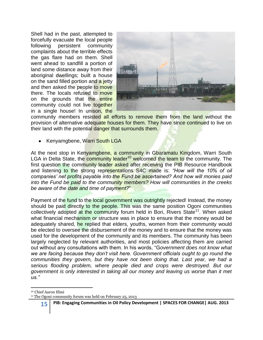Shell had in the past, attempted to forcefully evacuate the local people following persistent community complaints about the terrible effects the gas flare had on them. Shell went ahead to sandfill a portion of land some distance away from their aboriginal dwellings; built a house on the sand filled portion and a jetty and then asked the people to move there. The locals refused to move on the grounds that the entire community could not live together in a single house! In unison, the



community members resisted all efforts to remove them from the land without the provision of alternative adequate houses for them. They have since continued to live on their land with the potential danger that surrounds them.

• Kenyamgbene, Warri South LGA

At the next stop in Kenyamgbene, a community in Gbaramatu Kingdom, Warri South LGA in Delta State, the community leader<sup>10</sup> welcomed the team to the community. The first question the community leader asked after receiving the PIB Resource Handbook and listening to the strong representations S4C made is: *"How will the 10% of oil companies' net profits payable into the Fund be ascertained? And how will monies paid into the Fund be paid to the community members? How will communities in the creeks be aware of the date and time of payment?*"

Payment of the fund to the local government was outrightly rejected! Instead, the money should be paid directly to the people. This was the same position Ogoni communities collectively adopted at the community forum held in Bori, Rivers State<sup>11</sup>. When asked what financial mechanism or structure was in place to ensure that the money would be adequately shared, he replied that elders, youths, women from their community would be elected to oversee the disbursement of the money and to ensure that the money was used for the development of the community and its members. The community has been largely neglected by relevant authorities, and most policies affecting them are carried out without any consultations with them. In his words, "G*overnment does not know what we are facing because they don't visit here. Government officials ought to go round the communities they govern, but they have not been doing that. Last year, we had a serious flooding problem, where people died and crops were destroyed. But our government is only interested in taking all our money and leaving us worse than it met us."*

<sup>11</sup> The Ogoni community forum was held on February 25, 2013

l <sup>10</sup> Chief Aaron Ifimi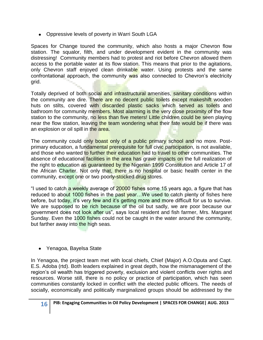Oppressive levels of poverty in Warri South LGA

Spaces for Change toured the community, which also hosts a major Chevron flow station. The squalor, filth, and under development evident in the community was distressing! Community members had to protest and riot before Chevron allowed them access to the portable water at its flow station. This means that prior to the agitations, only Chevron staff enjoyed clean drinkable water. Using protests and the same confrontational approach, the community was also connected to Chevron's electricity grid.

Totally deprived of both social and infrastructural amenities, sanitary conditions within the community are dire. There are no decent public toilets except makeshift wooden huts on stilts, covered with discarded plastic sacks which served as toilets and bathroom for community members. Most alarming is the very close proximity of the flow station to the community, no less than five meters! Little children could be seen playing near the flow station, leaving the team wondering what their fate would be if there was an explosion or oil spill in the area.

The community could only boast only of a public primary school and no more. Postprimary education, a fundamental prerequisite for full civic participation, is not available, and those who wanted to further their education had to travel to other communities. The absence of educational facilities in the area has grave impacts on the full realization of the right to education as guaranteed by the Nigerian 1999 Constitution and Article 17 of the African Charter. Not only that, there is no hospital or basic health center in the community, except one or two poorly-stocked drug stores.

"I used to catch a weekly average of 20000 fishes some 15 years ago, a figure that has reduced to about 1000 fishes in the past year...We used to catch plenty of fishes here before, but today, it's very few and it's getting more and more difficult for us to survive. We are supposed to be rich because of the oil but sadly, we are poor because our government does not look after us", says local resident and fish farmer, Mrs. Margaret Sunday. Even the 1000 fishes could not be caught in the water around the community, but farther away into the high seas.

Yenagoa, Bayelsa State

In Yenagoa, the project team met with local chiefs, Chief (Major) A.O.Oputa and Capt. E.S. Adoba (rtd). Both leaders explained in great depth, how the mismanagement of the region"s oil wealth has triggered poverty, exclusion and violent conflicts over rights and resources. Worse still, there is no policy or practice of participation, which has seen communities constantly locked in conflict with the elected public officers. The needs of socially, economically and politically marginalized groups should be addressed by the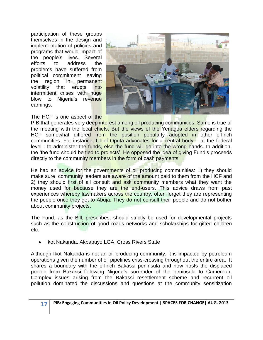participation of these groups themselves in the design and implementation of policies and programs that would impact of the people"s lives. Several efforts to address the problems have suffered from political commitment leaving the region in permanent volatility that erupts into intermittent crises with huge blow to Nigeria's revenue earnings.



The HCF is one aspect of the

PIB that generates very deep interest among oil producing communities. Same is true of the meeting with the local chiefs. But the views of the Yenagoa elders regarding the HCF somewhat differed from the position popularly adopted in other oil-rich communities. For instance, Chief Oputa advocates for a central body – at the federal level - to administer the funds, else the fund will go into the wrong hands. In addition, the 'the fund should be tied to projects'. He opposed the idea of giving Fund's proceeds directly to the community members in the form of cash payments.

He had an advice for the governments of oil producing communities: 1) they should make sure community leaders are aware of the amount paid to them from the HCF and 2) they should first of all consult and ask community members what they want the money used for because they are the end-users. This advice draws from past experiences whereby lawmakers across the country, often forget they are representing the people once they get to Abuja. They do not consult their people and do not bother about community projects.

The Fund, as the Bill, prescribes, should strictly be used for developmental projects such as the construction of good roads networks and scholarships for gifted children etc.

• Ikot Nakanda, Akpabuyo LGA, Cross Rivers State

Although Ikot Nakanda is not an oil producing community, it is impacted by petroleum operations given the number of oil pipelines criss-crossing throughout the entire area. It shares a boundary with the oil-rich Bakassi peninsula and now hosts the displaced people from Bakassi following Nigeria"s surrender of the peninsula to Cameroun. Complex issues arising from the Bakassi resettlement scheme and recurrent oil pollution dominated the discussions and questions at the community sensitization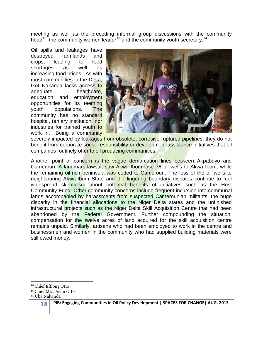meeting as well as the preceding informal group discussions with the community head<sup>12</sup>, the community women leader<sup>13</sup> and the community youth secretary.<sup>14</sup>

Oil spills and leakages have destroyed farmlands and crops, leading to food shortages as well as increasing food prices. As with most communities in the Delta, Ikot Nakanda lacks access to adequate healthcare, education and employment opportunities for its teeming youth populations. The community has no standard hospital, tertiary institution, nor industries for trained youth to work in. Being a community



severely impacted by leakages from obsolete, corrosive ruptured pipelines, they do not benefit from corporate social responsibility or development assistance initiatives that oil companies routinely offer to oil producing communities.

Another point of concern is the vague demarcation lines between Akpabuyo and Cameroun. A landmark lawsuit saw Akwa Ibom lose 76 oil wells to Akwa Ibom, while the remaining oil-rich peninsula was ceded to Cameroun. The loss of the oil wells to neighbouring Akwa-Ibom State and the lingering boundary disputes continue to fuel widespread skepticism about potential benefits of initiatives such as the Host Community Fund. Other community concerns include frequent incursion into communal lands accompanied by harassments from suspected Camerounian militants, the huge disparity in the financial allocations to the Niger Delta states and the unfinished infrastructural projects such as the Niger Delta Skill Acquisition Centre that had been abandoned by the Federal Government. Further compounding the situation, compensation for the twelve acres of land acquired for the skill acquisition centre remains unpaid. Similarly, artisans who had been employed to work in the centre and businessmen and women in the community who had supplied building materials were still owed money.

 $\overline{\phantom{a}}$ <sup>12</sup> Chief Effiong Otto

<sup>13</sup> Chief Mrs. Asim Otto

<sup>14</sup> Uba Nakanda

**<sup>18</sup> PIB: Engaging Communities in Oil Policy Development | SPACES FOR CHANGE| AUG. 2013**